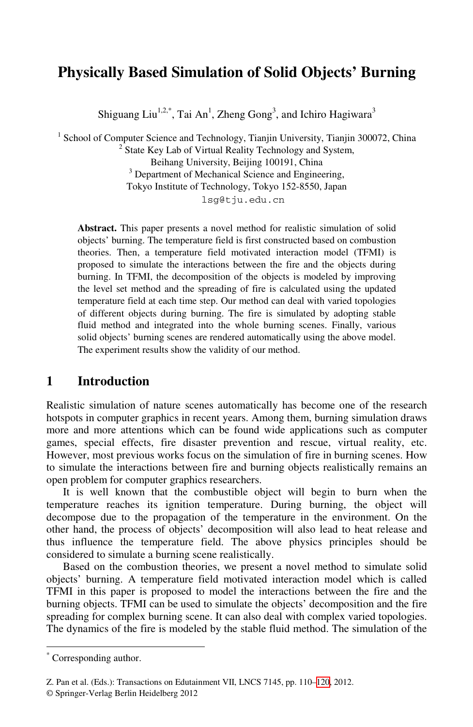# **Physically Based Simulation of Solid Objects' Burning**

Shiguang Liu<sup>1,2,\*</sup>, Tai An<sup>1</sup>, Zheng Gong<sup>3</sup>, and Ichiro Hagiwara<sup>3</sup>

<sup>1</sup> School of Computer Science and Technology, Tianjin University, Tianjin 300072, China  $\frac{2 \text{ State Key I} \text{ ab of Virtual–Reality Technology and System}}{2 \text{ State } }$ <sup>2</sup> State Key Lab of Virtual Reality Technology and System,<br>Beihang University, Beijing 100191, China Beihang University, Beijing 100191, China<br><sup>3</sup> Department of Mechanical Science and Engineering, Tokyo Institute of Technology, Tokyo 152-8550, Japan lsg@tju.edu.cn

**Abstract.** This paper presents a novel method for realistic simulation of solid objects' burning. The temperature field is first constructed based on combustion theories. Then, a temperature field motivated interaction model (TFMI) is proposed to simulate the interactions between the fire and the objects during burning. In TFMI, the decomposition of the objects is modeled by improving the level set method and the spreading of fire is calculated using the updated temperature field at each time step. Our method can deal with varied topologies of different objects during burning. The fire is simulated by adopting stable fluid method and integrated into the whole burning scenes. Finally, various solid objects' burning scenes are rendered automatically using the above model. The experiment results show the validity of our method.

### **1 Introduction**

Realistic simulation of nature scenes automatically has become one of the research hotspots in computer graphics in recent years. Among them, burning simulation draws more and more attentions which can be found wide applications such as computer games, special effects, fire disaster prevention and rescue, virtual reality, etc. However, most previous works focus on the simulation of fire in burning scenes. How to simulate the interactions between fire and burning objects realistically remains an open problem for computer graphics researchers.

It is well known that the combustible object will begin to burn when the temperature reaches its ignition temperature. During burning, the object will decompose due to the propagation of the temperature in the environment. On the other hand, the process of objects' decomposition will also lead to heat release and thus influence the temperature field. The above physics principles should be considered to simulate a burning scene realistically.

Based on the combustion theories, we present a novel method to simulate solid objects' burning. A temperature field [mot](#page-10-0)ivated interaction model which is called TFMI in this paper is proposed to model the interactions between the fire and the burning objects. TFMI can be used to simulate the objects' decomposition and the fire spreading for complex burning scene. It can also deal with complex varied topologies. The dynamics of the fire is modeled by the stable fluid method. The simulation of the

-

<sup>\*</sup> Corresponding author.

Z. Pan et al. (Eds.): Transactions on Edutainment VII, LNCS 7145, pp. 110–120, 2012.

<sup>©</sup> Springer-Verlag Berlin Heidelberg 2012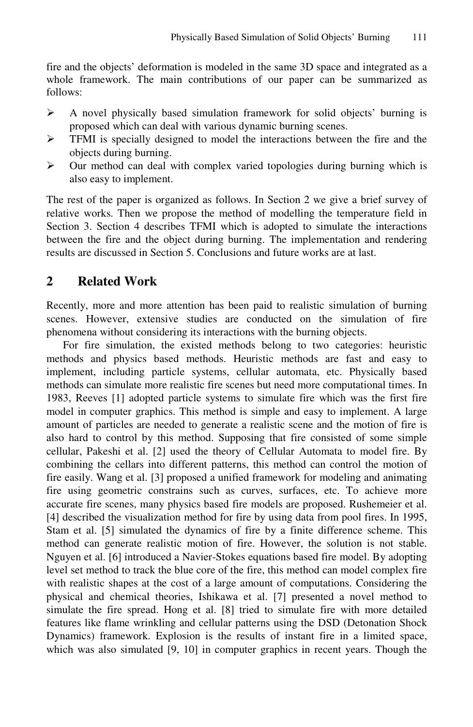fire and the objects' deformation is modeled in the same 3D space and integrated as a whole framework. The main contributions of our paper can be summarized as follows:

- $\triangleright$  A novel physically based simulation framework for solid objects' burning is proposed which can deal with various dynamic burning scenes.
- $\triangleright$  TFMI is specially designed to model the interactions between the fire and the objects during burning.
- $\triangleright$  Our method can deal with complex varied topologies during burning which is also easy to implement.

The rest of the paper is organized as follows. In Section 2 we give a brief survey of relative works. Then we propose the method of modelling the temperature field in Section 3. Section 4 describes TFMI which is adopted to simulate the interactions between the fire and the object during burning. The implementation and rendering results are discussed in Section 5. Conclusions and future works are at last.

### **2 Related Work**

Recently, more and more attention has been paid to realistic simulation of burning scenes. However, extensive studies are conducted on the simulation of fire phenomena without considering its interactions with the burning objects.

For fire simulation, the existed methods belong to two categories: heuristic methods and physics based methods. Heuristic methods are fast and easy to implement, including particle systems, cellular automata, etc. Physically based methods can simulate more realistic fire scenes but need more computational times. In 1983, Reeves [1] adopted particle systems to simulate fire which was the first fire model in computer graphics. This method is simple and easy to implement. A large amount of particles are needed to generate a realistic scene and the motion of fire is also hard to control by this method. Supposing that fire consisted of some simple cellular, Pakeshi et al. [2] used the theory of Cellular Automata to model fire. By combining the cellars into different patterns, this method can control the motion of fire easily. Wang et al. [3] proposed a unified framework for modeling and animating fire using geometric constrains such as curves, surfaces, etc. To achieve more accurate fire scenes, many physics based fire models are proposed. Rushemeier et al. [4] described the visualization method for fire by using data from pool fires. In 1995, Stam et al. [5] simulated the dynamics of fire by a finite difference scheme. This method can generate realistic motion of fire. However, the solution is not stable. Nguyen et al. [6] introduced a Navier-Stokes equations based fire model. By adopting level set method to track the blue core of the fire, this method can model complex fire with realistic shapes at the cost of a large amount of computations. Considering the physical and chemical theories, Ishikawa et al. [7] presented a novel method to simulate the fire spread. Hong et al. [8] tried to simulate fire with more detailed features like flame wrinkling and cellular patterns using the DSD (Detonation Shock Dynamics) framework. Explosion is the results of instant fire in a limited space, which was also simulated [9, 10] in computer graphics in recent years. Though the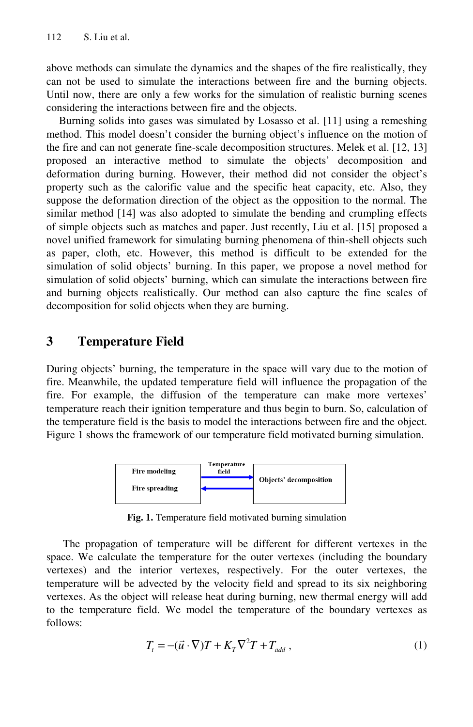above methods can simulate the dynamics and the shapes of the fire realistically, they can not be used to simulate the interactions between fire and the burning objects. Until now, there are only a few works for the simulation of realistic burning scenes considering the interactions between fire and the objects.

Burning solids into gases was simulated by Losasso et al. [11] using a remeshing method. This model doesn't consider the burning object's influence on the motion of the fire and can not generate fine-scale decomposition structures. Melek et al. [12, 13] proposed an interactive method to simulate the objects' decomposition and deformation during burning. However, their method did not consider the object's property such as the calorific value and the specific heat capacity, etc. Also, they suppose the deformation direction of the object as the opposition to the normal. The similar method [14] was also adopted to simulate the bending and crumpling effects of simple objects such as matches and paper. Just recently, Liu et al. [15] proposed a novel unified framework for simulating burning phenomena of thin-shell objects such as paper, cloth, etc. However, this method is difficult to be extended for the simulation of solid objects' burning. In this paper, we propose a novel method for simulation of solid objects' burning, which can simulate the interactions between fire and burning objects realistically. Our method can also capture the fine scales of decomposition for solid objects when they are burning.

## **3 Temperature Field**

During objects' burning, the temperature in the space will vary due to the motion of fire. Meanwhile, the updated temperature field will influence the propagation of the fire. For example, the diffusion of the temperature can make more vertexes' temperature reach their ignition temperature and thus begin to burn. So, calculation of the temperature field is the basis to model the interactions between fire and the object. Figure 1 shows the framework of our temperature field motivated burning simulation.



**Fig. 1.** Temperature field motivated burning simulation

The propagation of temperature will be different for different vertexes in the space. We calculate the temperature for the outer vertexes (including the boundary vertexes) and the interior vertexes, respectively. For the outer vertexes, the temperature will be advected by the velocity field and spread to its six neighboring vertexes. As the object will release heat during burning, new thermal energy will add to the temperature field. We model the temperature of the boundary vertexes as follows:

$$
T_t = -(\vec{u} \cdot \nabla)T + K_T \nabla^2 T + T_{add} \,, \tag{1}
$$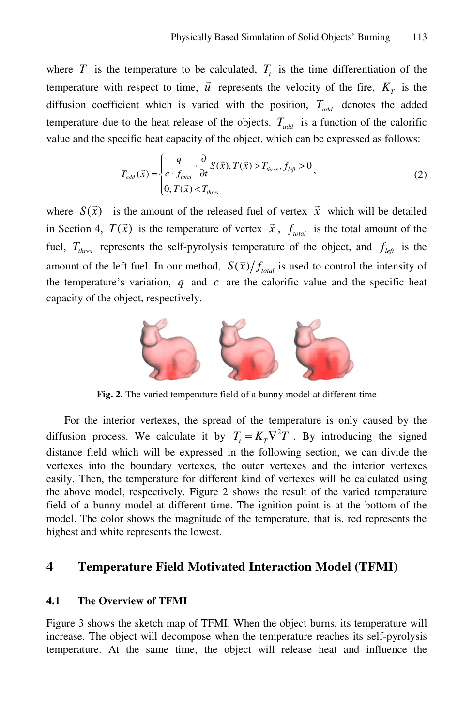where  $T$  is the temperature to be calculated,  $T<sub>i</sub>$  is the time differentiation of the temperature with respect to time,  $\vec{u}$  represents the velocity of the fire,  $K_T$  is the diffusion coefficient which is varied with the position,  $T_{add}$  denotes the added temperature due to the heat release of the objects.  $T_{add}$  is a function of the calorific value and the specific heat capacity of the object, which can be expressed as follows:

$$
T_{add}(\vec{x}) = \begin{cases} \frac{q}{c \cdot f_{total}} \cdot \frac{\partial}{\partial t} S(\vec{x}), T(\vec{x}) > T_{thres}, f_{left} > 0\\ 0, T(\vec{x}) < T_{thres} \end{cases}
$$
(2)

where  $S(\vec{x})$  is the amount of the released fuel of vertex  $\vec{x}$  which will be detailed in Section 4,  $T(\vec{x})$  is the temperature of vertex  $\vec{x}$ ,  $f_{total}$  is the total amount of the fuel,  $T_{thres}$  represents the self-pyrolysis temperature of the object, and  $f_{left}$  is the amount of the left fuel. In our method,  $S(\vec{x})/f_{total}$  is used to control the intensity of the temperature's variation,  $q$  and  $c$  are the calorific value and the specific heat capacity of the object, respectively.



**Fig. 2.** The varied temperature field of a bunny model at different time

For the interior vertexes, the spread of the temperature is only caused by the diffusion process. We calculate it by  $T<sub>t</sub> = K<sub>T</sub> \nabla^2 T$ . By introducing the signed distance field which will be expressed in the following section, we can divide the vertexes into the boundary vertexes, the outer vertexes and the interior vertexes easily. Then, the temperature for different kind of vertexes will be calculated using the above model, respectively. Figure 2 shows the result of the varied temperature field of a bunny model at different time. The ignition point is at the bottom of the model. The color shows the magnitude of the temperature, that is, red represents the highest and white represents the lowest.

## **4 Temperature Field Motivated Interaction Model (TFMI)**

#### **4.1 The Overview of TFMI**

Figure 3 shows the sketch map of TFMI. When the object burns, its temperature will increase. The object will decompose when the temperature reaches its self-pyrolysis temperature. At the same time, the object will release heat and influence the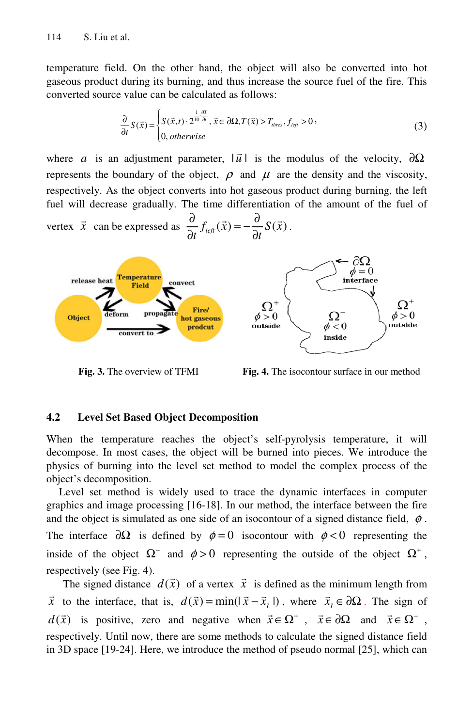temperature field. On the other hand, the object will also be converted into hot gaseous product during its burning, and thus increase the source fuel of the fire. This converted source value can be calculated as follows:

$$
\frac{\partial}{\partial t} S(\vec{x}) = \begin{cases} S(\vec{x},t) \cdot 2^{\frac{1}{10}\frac{\partial T}{\partial t}}, \ \vec{x} \in \partial \Omega, T(\vec{x}) > T_{thres}, f_{left} > 0, \\ 0, otherwise \end{cases}
$$
(3)

where *a* is an adjustment parameter,  $|\vec{u}|$  is the modulus of the velocity,  $\partial\Omega$ represents the boundary of the object,  $\rho$  and  $\mu$  are the density and the viscosity, respectively. As the object converts into hot gaseous product during burning, the left fuel will decrease gradually. The time differentiation of the amount of the fuel of

vertex 
$$
\vec{x}
$$
 can be expressed as  $\frac{\partial}{\partial t} f_{left}(\vec{x}) = -\frac{\partial}{\partial t} S(\vec{x})$ .



**Fig. 3.** The overview of TFMI **Fig. 4.** The isocontour surface in our method

#### **4.2 Level Set Based Object Decomposition**

When the temperature reaches the object's self-pyrolysis temperature, it will decompose. In most cases, the object will be burned into pieces. We introduce the physics of burning into the level set method to model the complex process of the object's decomposition.

Level set method is widely used to trace the dynamic interfaces in computer graphics and image processing [16-18]. In our method, the interface between the fire and the object is simulated as one side of an isocontour of a signed distance field,  $\phi$ . The interface  $\partial\Omega$  is defined by  $\phi = 0$  isocontour with  $\phi < 0$  representing the inside of the object  $\Omega^-$  and  $\phi > 0$  representing the outside of the object  $\Omega^+$ , respectively (see Fig. 4).

The signed distance  $d(\vec{x})$  of a vertex  $\vec{x}$  is defined as the minimum length from  $\vec{x}$  to the interface, that is,  $d(\vec{x}) = \min(|\vec{x} - \vec{x}_I|)$ , where  $\vec{x}_I \in \partial\Omega$ . The sign of *d*( $\vec{x}$ ) is positive, zero and negative when  $\vec{x} \in \Omega^+$ ,  $\vec{x} \in \partial\Omega$  and  $\vec{x} \in \Omega^-$ . respectively. Until now, there are some methods to calculate the signed distance field in 3D space [19-24]. Here, we introduce the method of pseudo normal [25], which can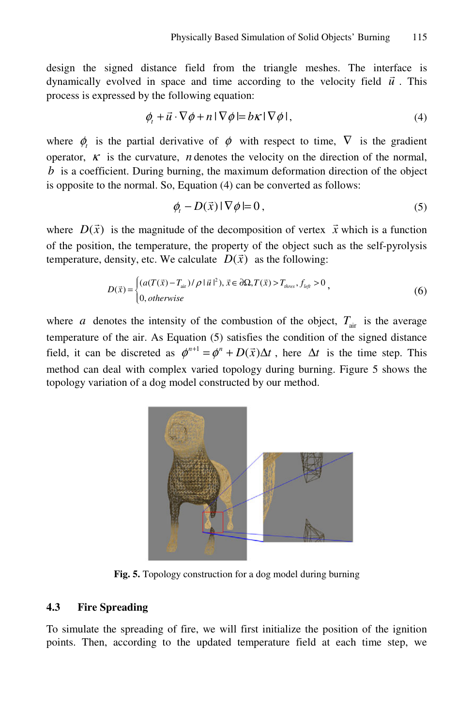design the signed distance field from the triangle meshes. The interface is dynamically evolved in space and time according to the velocity field  $\vec{u}$ . This process is expressed by the following equation:

$$
\phi_t + \vec{u} \cdot \nabla \phi + n \cdot |\nabla \phi| = b \kappa |\nabla \phi|,\tag{4}
$$

where  $\phi_t$  is the partial derivative of  $\phi$  with respect to time,  $\nabla$  is the gradient operator,  $\kappa$  is the curvature, *n* denotes the velocity on the direction of the normal, *b* is a coefficient. During burning, the maximum deformation direction of the object is opposite to the normal. So, Equation (4) can be converted as follows:

$$
\phi_t - D(\vec{x}) \, |\nabla \phi| = 0 \,, \tag{5}
$$

where  $D(\vec{x})$  is the magnitude of the decomposition of vertex  $\vec{x}$  which is a function of the position, the temperature, the property of the object such as the self-pyrolysis temperature, density, etc. We calculate  $D(\vec{x})$  as the following:

$$
D(\vec{x}) = \begin{cases} (a(T(\vec{x}) - T_{\text{air}})/\rho \, |\, \vec{u} \,|^2), \, \vec{x} \in \partial\Omega, T(\vec{x}) > T_{\text{thres}}, f_{\text{left}} > 0 \\ 0, \text{ otherwise} \end{cases} \tag{6}
$$

where *a* denotes the intensity of the combustion of the object,  $T_{\text{air}}$  is the average temperature of the air. As Equation (5) satisfies the condition of the signed distance field, it can be discreted as  $\phi^{n+1} = \phi^n + D(\vec{x})\Delta t$ , here  $\Delta t$  is the time step. This method can deal with complex varied topology during burning. Figure 5 shows the topology variation of a dog model constructed by our method.



**Fig. 5.** Topology construction for a dog model during burning

#### **4.3 Fire Spreading**

To simulate the spreading of fire, we will first initialize the position of the ignition points. Then, according to the updated temperature field at each time step, we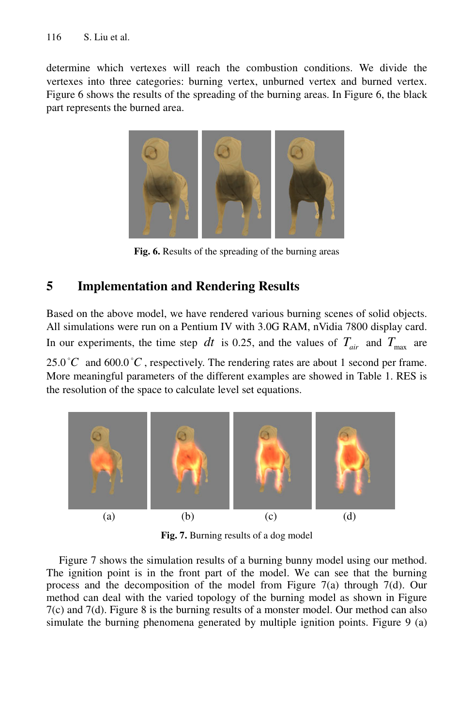determine which vertexes will reach the combustion conditions. We divide the vertexes into three categories: burning vertex, unburned vertex and burned vertex. Figure 6 shows the results of the spreading of the burning areas. In Figure 6, the black part represents the burned area.



**Fig. 6.** Results of the spreading of the burning areas

# **5 Implementation and Rendering Results**

Based on the above model, we have rendered various burning scenes of solid objects. All simulations were run on a Pentium IV with 3.0G RAM, nVidia 7800 display card. In our experiments, the time step *dt* is 0.25, and the values of  $T_{air}$  and  $T_{max}$  are 25.0  $\degree$ C and 600.0  $\degree$ C, respectively. The rendering rates are about 1 second per frame.

More meaningful parameters of the different examples are showed in Table 1. RES is the resolution of the space to calculate level set equations.



**Fig. 7.** Burning results of a dog model

Figure 7 shows the simulation results of a burning bunny model using our method. The ignition point is in the front part of the model. We can see that the burning process and the decomposition of the model from Figure 7(a) through 7(d). Our method can deal with the varied topology of the burning model as shown in Figure 7(c) and 7(d). Figure 8 is the burning results of a monster model. Our method can also simulate the burning phenomena generated by multiple ignition points. Figure 9 (a)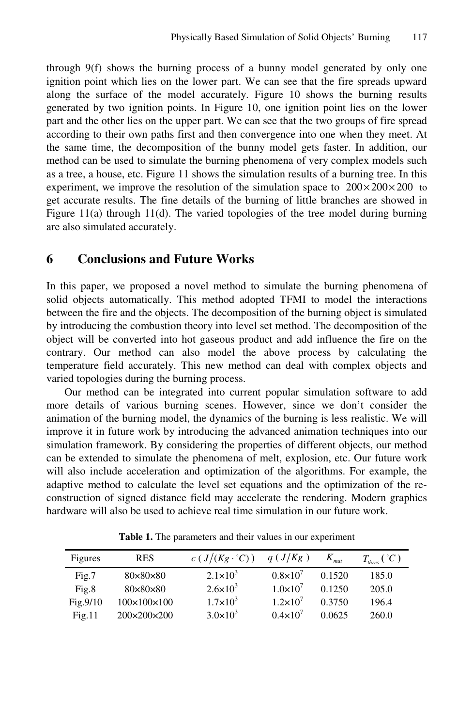through 9(f) shows the burning process of a bunny model generated by only one ignition point which lies on the lower part. We can see that the fire spreads upward along the surface of the model accurately. Figure 10 shows the burning results generated by two ignition points. In Figure 10, one ignition point lies on the lower part and the other lies on the upper part. We can see that the two groups of fire spread according to their own paths first and then convergence into one when they meet. At the same time, the decomposition of the bunny model gets faster. In addition, our method can be used to simulate the burning phenomena of very complex models such as a tree, a house, etc. Figure 11 shows the simulation results of a burning tree. In this experiment, we improve the resolution of the simulation space to  $200 \times 200 \times 200$  to get accurate results. The fine details of the burning of little branches are showed in Figure 11(a) through 11(d). The varied topologies of the tree model during burning are also simulated accurately.

### **6 Conclusions and Future Works**

In this paper, we proposed a novel method to simulate the burning phenomena of solid objects automatically. This method adopted TFMI to model the interactions between the fire and the objects. The decomposition of the burning object is simulated by introducing the combustion theory into level set method. The decomposition of the object will be converted into hot gaseous product and add influence the fire on the contrary. Our method can also model the above process by calculating the temperature field accurately. This new method can deal with complex objects and varied topologies during the burning process.

Our method can be integrated into current popular simulation software to add more details of various burning scenes. However, since we don't consider the animation of the burning model, the dynamics of the burning is less realistic. We will improve it in future work by introducing the advanced animation techniques into our simulation framework. By considering the properties of different objects, our method can be extended to simulate the phenomena of melt, explosion, etc. Our future work will also include acceleration and optimization of the algorithms. For example, the adaptive method to calculate the level set equations and the optimization of the reconstruction of signed distance field may accelerate the rendering. Modern graphics hardware will also be used to achieve real time simulation in our future work.

| Figures  | <b>RES</b>                  | $c(J/(Kg \cdot {}^{\circ}C))$ | q(J/Kg)             | $K_{mat}$ | $T_{thres}$ (°C) |
|----------|-----------------------------|-------------------------------|---------------------|-----------|------------------|
| Fig.7    | $80\times80\times80$        | $2.1 \times 10^{3}$           | $0.8 \times 10^{7}$ | 0.1520    | 185.0            |
| Fig.8    | $80\times80\times80$        | $2.6 \times 10^{3}$           | $1.0 \times 10^{7}$ | 0.1250    | 205.0            |
| Fig.9/10 | $100 \times 100 \times 100$ | $1.7 \times 10^{3}$           | $1.2 \times 10^{7}$ | 0.3750    | 196.4            |
| Fig.11   | 200×200×200                 | $3.0 \times 10^{3}$           | $0.4 \times 10^{7}$ | 0.0625    | 260.0            |

**Table 1.** The parameters and their values in our experiment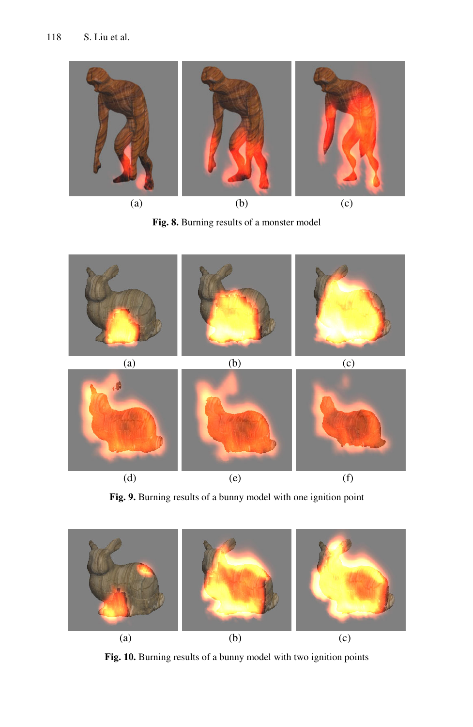

**Fig. 8.** Burning results of a monster model



**Fig. 9.** Burning results of a bunny model with one ignition point



**Fig. 10.** Burning results of a bunny model with two ignition points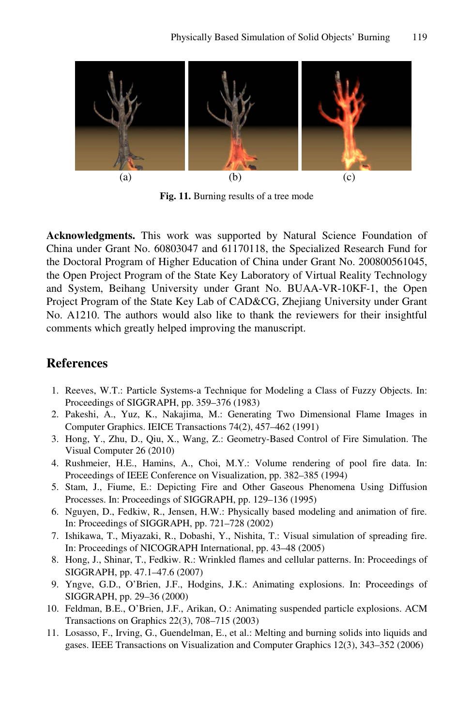

**Fig. 11.** Burning results of a tree mode

**Acknowledgments.** This work was supported by Natural Science Foundation of China under Grant No. 60803047 and 61170118, the Specialized Research Fund for the Doctoral Program of Higher Education of China under Grant No. 200800561045, the Open Project Program of the State Key Laboratory of Virtual Reality Technology and System, Beihang University under Grant No. BUAA-VR-10KF-1, the Open Project Program of the State Key Lab of CAD&CG, Zhejiang University under Grant No. A1210. The authors would also like to thank the reviewers for their insightful comments which greatly helped improving the manuscript.

## **References**

- 1. Reeves, W.T.: Particle Systems-a Technique for Modeling a Class of Fuzzy Objects. In: Proceedings of SIGGRAPH, pp. 359–376 (1983)
- 2. Pakeshi, A., Yuz, K., Nakajima, M.: Generating Two Dimensional Flame Images in Computer Graphics. IEICE Transactions 74(2), 457–462 (1991)
- 3. Hong, Y., Zhu, D., Qiu, X., Wang, Z.: Geometry-Based Control of Fire Simulation. The Visual Computer 26 (2010)
- 4. Rushmeier, H.E., Hamins, A., Choi, M.Y.: Volume rendering of pool fire data. In: Proceedings of IEEE Conference on Visualization, pp. 382–385 (1994)
- 5. Stam, J., Fiume, E.: Depicting Fire and Other Gaseous Phenomena Using Diffusion Processes. In: Proceedings of SIGGRAPH, pp. 129–136 (1995)
- 6. Nguyen, D., Fedkiw, R., Jensen, H.W.: Physically based modeling and animation of fire. In: Proceedings of SIGGRAPH, pp. 721–728 (2002)
- 7. Ishikawa, T., Miyazaki, R., Dobashi, Y., Nishita, T.: Visual simulation of spreading fire. In: Proceedings of NICOGRAPH International, pp. 43–48 (2005)
- 8. Hong, J., Shinar, T., Fedkiw. R.: Wrinkled flames and cellular patterns. In: Proceedings of SIGGRAPH, pp. 47.1–47.6 (2007)
- 9. Yngve, G.D., O'Brien, J.F., Hodgins, J.K.: Animating explosions. In: Proceedings of SIGGRAPH, pp. 29–36 (2000)
- 10. Feldman, B.E., O'Brien, J.F., Arikan, O.: Animating suspended particle explosions. ACM Transactions on Graphics 22(3), 708–715 (2003)
- 11. Losasso, F., Irving, G., Guendelman, E., et al.: Melting and burning solids into liquids and gases. IEEE Transactions on Visualization and Computer Graphics 12(3), 343–352 (2006)